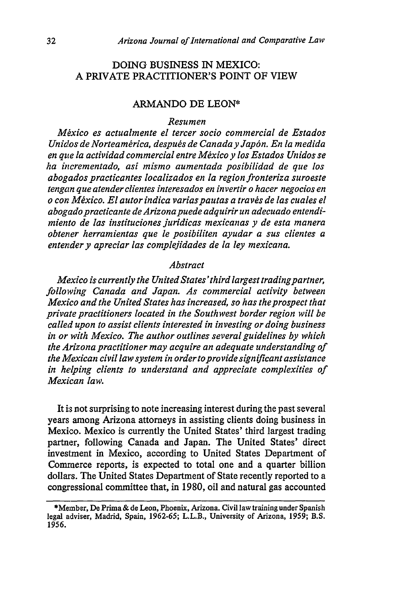## DOING BUSINESS IN MEXICO: A PRIVATE PRACTITIONER'S POINT OF VIEW

## ARMANDO DE LEON\*

## *Resumen*

*Mexico es actualmente el tercer socio commercial de Estados Unidos de Norteamérica, después de Canada y Japón. En la medida en que la actividad commercial entre Mexico y los Estados Unidos se ha incrementado, asi mismo aumentada posibilidad de que los abogados practicantes localizados en la region fronteriza suroeste tengan que atender clientes interesados en invertir o hacer negocios en o con M~xico. El autor indica variaspautas a travs de las cuales el abogadopracticante de Arizona puede adquirir un adecuado entendimiento de las instituciones juridicas mexicanas y de esta manera obtener herramientas que le posibiliten ayudar a sus clientes a entender y apreciar las complejidades de la ley mexicana.*

## *Abstract*

*Mexico is currently the United States'third largest tradingpartner, following Canada and Japan. As commercial activity between Mexico and the United States has increased, so has the prospect that private practitioners located in the Southwest border region will be called upon to assist clients interested in investing or doing business in or with Mexico. The author outlines several guidelines by which the Arizona practitioner may acquire an adequate understanding of the Arexican civil law system in ordertoprovide significant assistance in helping clients to understand and appreciate complexities of Mexican law.*

It is not surprising to note increasing interest during the past several years among Arizona attorneys in assisting clients doing business in Mexico. Mexico is currently the United States' third largest trading partner, following Canada and Japan. The United States' direct investment in Mexico, according to United States Department of Commerce reports, is expected to total one and a quarter billion dollars. The United States Department of State recently reported to a congressional committee that, in **1980,** oil and natural gas accounted

<sup>\*</sup>Member, De Prima & de Leon, Phoenix, Arizona. Civil law training under Spanish legal adviser, Madrid, Spain, **1962-65;** L.L.B., University of Arizona, **1959;** B.S. *1956.*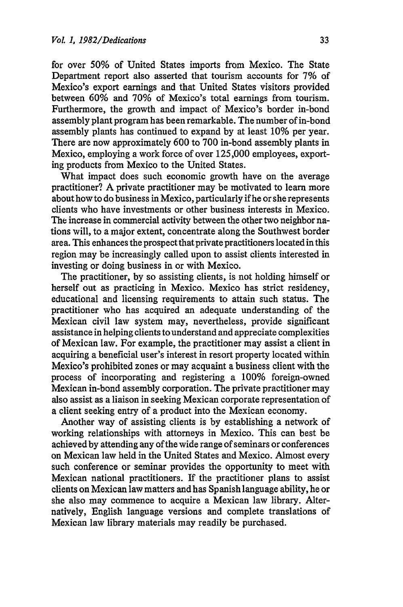for over 50% of United States imports from Mexico. The State Department report also asserted that tourism accounts for 7% of Mexico's export earnings and that United States visitors provided between 60% and 70% of Mexico's total earnings from tourism. Furthermore, the growth and impact of Mexico's border in-bond assembly plant program has been remarkable. The number of in-bond assembly plants has continued to expand by at least 10% per year. There are now approximately 600 to 700 in-bond assembly plants in Mexico, employing a work force of over 125,000 employees, exporting products from Mexico to the United States.

What impact does such economic growth have on the average practitioner? A private practitioner may be motivated to learn more about how to do business in Mexico, particularly if he or she represents clients who have investments or other business interests in Mexico. The increase in commercial activity between the other two neighbor nations will, to a major extent, concentrate along the Southwest border area. This enhances the prospect that private practitioners located in this region may be increasingly called upon to assist clients interested in investing or doing business in or with Mexico.

The practitioner, by so assisting clients, is not holding himself or herself out as practicing in Mexico. Mexico has strict residency, educational and licensing requirements to attain such status. The practitioner who has acquired an adequate understanding of the Mexican civil law system may, nevertheless, provide significant assistance in helping clients to understand and appreciate complexities of Mexican law. For example, the practitioner may assist a client in acquiring a beneficial user's interest in resort property located within Mexico's prohibited zones or may acquaint a business client with the process of incorporating and registering a 100% foreign-owned Mexican in-bond assembly corporation. The private practitioner may also assist as a liaison in seeking Mexican corporate representation of a client seeking entry of a product into the Mexican economy.

Another way of assisting clients is by establishing a network of working relationships with attorneys in Mexico. This can best be achieved by attending any of the wide range of seminars or conferences on Mexican law held in the United States and Mexico. Almost every such conference or seminar provides the opportunity to meet with Mexican national practitioners. If the practitioner plans to assist clients on Mexican law matters and has Spanish language ability, he or she also may commence to acquire a Mexican law library. Alternatively, English language versions and complete translations of Mexican law library materials may readily be purchased.